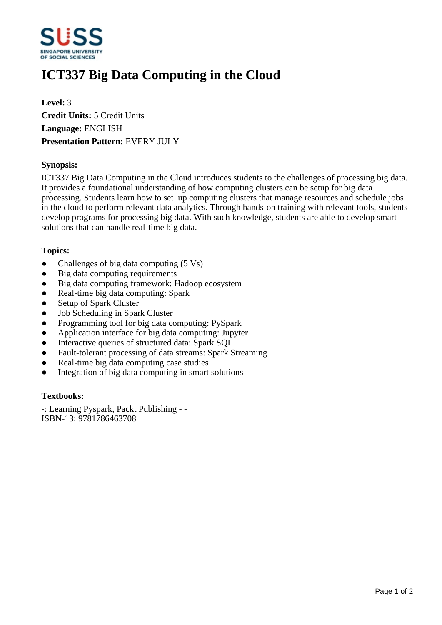

# **ICT337 Big Data Computing in the Cloud**

**Level:** 3 **Credit Units:** 5 Credit Units **Language:** ENGLISH **Presentation Pattern:** EVERY JULY

## **Synopsis:**

ICT337 Big Data Computing in the Cloud introduces students to the challenges of processing big data. It provides a foundational understanding of how computing clusters can be setup for big data processing. Students learn how to set up computing clusters that manage resources and schedule jobs in the cloud to perform relevant data analytics. Through hands-on training with relevant tools, students develop programs for processing big data. With such knowledge, students are able to develop smart solutions that can handle real-time big data.

## **Topics:**

- Challenges of big data computing  $(5 \text{ Vs})$
- $\bullet$  Big data computing requirements
- Big data computing framework: Hadoop ecosystem
- Real-time big data computing: Spark
- Setup of Spark Cluster
- Job Scheduling in Spark Cluster
- Programming tool for big data computing: PySpark
- Application interface for big data computing: Jupyter
- Interactive queries of structured data: Spark SQL
- Fault-tolerant processing of data streams: Spark Streaming
- ƔReal-time big data computing case studies
- Integration of big data computing in smart solutions

#### **Textbooks:**

-: Learning Pyspark, Packt Publishing - - ISBN-13: 9781786463708